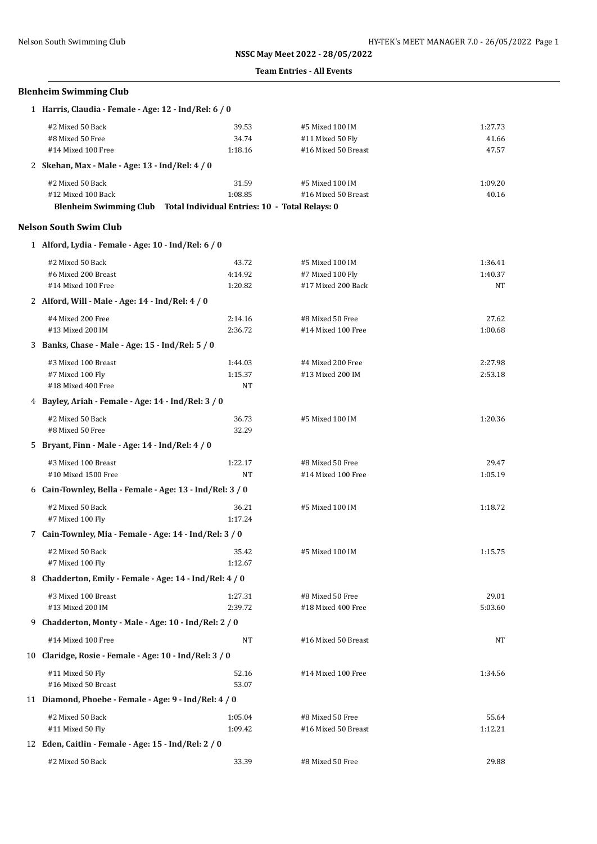#### **Team Entries - All Events**

## **Blenheim Swimming Club**

| 1 Harris, Claudia - Female - Age: 12 - Ind/Rel: 6 / 0                           |         |                     |         |  |
|---------------------------------------------------------------------------------|---------|---------------------|---------|--|
| #2 Mixed 50 Back                                                                | 39.53   | #5 Mixed 100 IM     | 1:27.73 |  |
| #8 Mixed 50 Free                                                                | 34.74   | #11 Mixed 50 Fly    | 41.66   |  |
| #14 Mixed 100 Free                                                              | 1:18.16 | #16 Mixed 50 Breast | 47.57   |  |
| 2 Skehan, Max - Male - Age: 13 - Ind/Rel: 4 / 0                                 |         |                     |         |  |
| #2 Mixed 50 Back                                                                | 31.59   | #5 Mixed 100 IM     | 1:09.20 |  |
| #12 Mixed 100 Back                                                              | 1:08.85 | #16 Mixed 50 Breast | 40.16   |  |
| Total Individual Entries: 10 - Total Relays: 0<br><b>Blenheim Swimming Club</b> |         |                     |         |  |

#### **Nelson South Swim Club**

| 1 Alford, Lydia - Female - Age: 10 - Ind/Rel: 6 / 0       |         |                     |           |  |
|-----------------------------------------------------------|---------|---------------------|-----------|--|
| #2 Mixed 50 Back                                          | 43.72   | #5 Mixed 100 IM     | 1:36.41   |  |
| #6 Mixed 200 Breast                                       | 4:14.92 | #7 Mixed 100 Fly    | 1:40.37   |  |
| #14 Mixed 100 Free                                        | 1:20.82 | #17 Mixed 200 Back  | <b>NT</b> |  |
| 2 Alford, Will - Male - Age: 14 - Ind/Rel: 4 / 0          |         |                     |           |  |
| #4 Mixed 200 Free                                         | 2:14.16 | #8 Mixed 50 Free    | 27.62     |  |
| #13 Mixed 200 IM                                          | 2:36.72 | #14 Mixed 100 Free  | 1:00.68   |  |
| 3 Banks, Chase - Male - Age: 15 - Ind/Rel: 5 / 0          |         |                     |           |  |
| #3 Mixed 100 Breast                                       | 1:44.03 | #4 Mixed 200 Free   | 2:27.98   |  |
| #7 Mixed 100 Fly                                          | 1:15.37 | #13 Mixed 200 IM    | 2:53.18   |  |
| #18 Mixed 400 Free                                        | NT      |                     |           |  |
| 4 Bayley, Ariah - Female - Age: 14 - Ind/Rel: 3 / 0       |         |                     |           |  |
| #2 Mixed 50 Back                                          | 36.73   | #5 Mixed 100 IM     | 1:20.36   |  |
| #8 Mixed 50 Free                                          | 32.29   |                     |           |  |
| 5 Bryant, Finn - Male - Age: 14 - Ind/Rel: 4 / 0          |         |                     |           |  |
| #3 Mixed 100 Breast                                       | 1:22.17 | #8 Mixed 50 Free    | 29.47     |  |
| #10 Mixed 1500 Free                                       | NT      | #14 Mixed 100 Free  | 1:05.19   |  |
| 6 Cain-Townley, Bella - Female - Age: 13 - Ind/Rel: 3 / 0 |         |                     |           |  |
| #2 Mixed 50 Back                                          | 36.21   | #5 Mixed 100 IM     | 1:18.72   |  |
| #7 Mixed 100 Fly                                          | 1:17.24 |                     |           |  |
| 7 Cain-Townley, Mia - Female - Age: 14 - Ind/Rel: 3 / 0   |         |                     |           |  |
| #2 Mixed 50 Back                                          | 35.42   | #5 Mixed 100 IM     | 1:15.75   |  |
| #7 Mixed 100 Fly                                          | 1:12.67 |                     |           |  |
| 8 Chadderton, Emily - Female - Age: 14 - Ind/Rel: 4 / 0   |         |                     |           |  |
| #3 Mixed 100 Breast                                       | 1:27.31 | #8 Mixed 50 Free    | 29.01     |  |
| #13 Mixed 200 IM                                          | 2:39.72 | #18 Mixed 400 Free  | 5:03.60   |  |
| 9 Chadderton, Monty - Male - Age: 10 - Ind/Rel: 2 / 0     |         |                     |           |  |
| #14 Mixed 100 Free                                        | NT      | #16 Mixed 50 Breast | NT        |  |
| 10 Claridge, Rosie - Female - Age: 10 - Ind/Rel: 3 / 0    |         |                     |           |  |
| #11 Mixed 50 Fly                                          | 52.16   | #14 Mixed 100 Free  | 1:34.56   |  |
| #16 Mixed 50 Breast                                       | 53.07   |                     |           |  |
| 11 Diamond, Phoebe - Female - Age: 9 - Ind/Rel: 4 / 0     |         |                     |           |  |
| #2 Mixed 50 Back                                          | 1:05.04 | #8 Mixed 50 Free    | 55.64     |  |
| #11 Mixed 50 Fly                                          | 1:09.42 | #16 Mixed 50 Breast | 1:12.21   |  |
| 12 Eden, Caitlin - Female - Age: 15 - Ind/Rel: 2 / 0      |         |                     |           |  |
| #2 Mixed 50 Back                                          | 33.39   | #8 Mixed 50 Free    | 29.88     |  |
|                                                           |         |                     |           |  |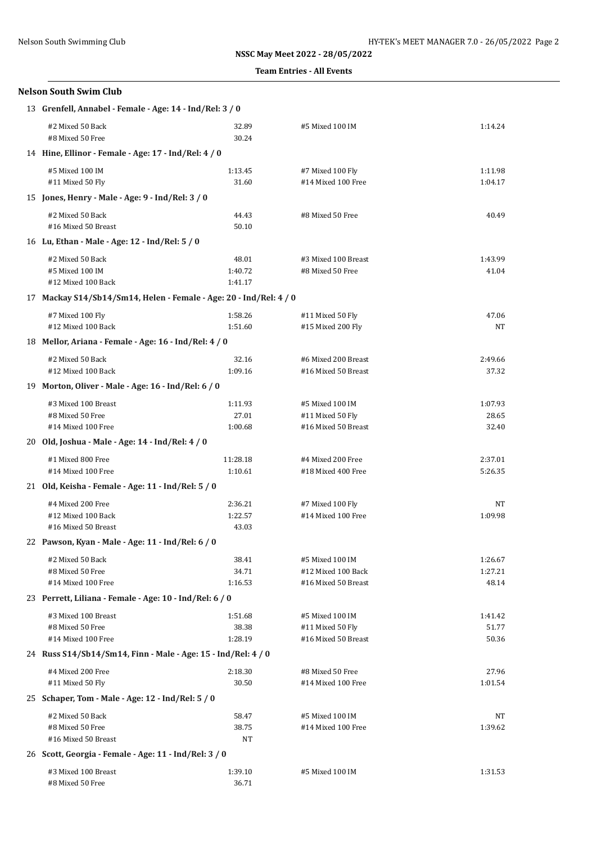## **Team Entries - All Events**

| <b>Nelson South Swim Club</b>                                      |                                                      |                                         |                |  |  |
|--------------------------------------------------------------------|------------------------------------------------------|-----------------------------------------|----------------|--|--|
| 13 Grenfell, Annabel - Female - Age: 14 - Ind/Rel: 3 / 0           |                                                      |                                         |                |  |  |
| #2 Mixed 50 Back<br>#8 Mixed 50 Free                               | 32.89<br>30.24                                       | #5 Mixed 100 IM                         | 1:14.24        |  |  |
|                                                                    | 14 Hine, Ellinor - Female - Age: 17 - Ind/Rel: 4 / 0 |                                         |                |  |  |
| #5 Mixed 100 IM                                                    | 1:13.45                                              | #7 Mixed 100 Fly                        | 1:11.98        |  |  |
| #11 Mixed 50 Fly                                                   | 31.60                                                | #14 Mixed 100 Free                      | 1:04.17        |  |  |
| 15 Jones, Henry - Male - Age: 9 - Ind/Rel: 3 / 0                   |                                                      |                                         |                |  |  |
| #2 Mixed 50 Back                                                   | 44.43                                                | #8 Mixed 50 Free                        | 40.49          |  |  |
| #16 Mixed 50 Breast                                                | 50.10                                                |                                         |                |  |  |
| 16 Lu, Ethan - Male - Age: 12 - Ind/Rel: 5 / 0                     |                                                      |                                         |                |  |  |
| #2 Mixed 50 Back                                                   | 48.01                                                | #3 Mixed 100 Breast                     | 1:43.99        |  |  |
| #5 Mixed 100 IM                                                    | 1:40.72                                              | #8 Mixed 50 Free                        | 41.04          |  |  |
| #12 Mixed 100 Back                                                 | 1:41.17                                              |                                         |                |  |  |
| 17 Mackay S14/Sb14/Sm14, Helen - Female - Age: 20 - Ind/Rel: 4 / 0 |                                                      |                                         |                |  |  |
| #7 Mixed 100 Fly                                                   | 1:58.26                                              | #11 Mixed 50 Fly                        | 47.06          |  |  |
| #12 Mixed 100 Back                                                 | 1:51.60                                              | #15 Mixed 200 Fly                       | NT             |  |  |
| 18 Mellor, Ariana - Female - Age: 16 - Ind/Rel: 4 / 0              |                                                      |                                         |                |  |  |
| #2 Mixed 50 Back                                                   | 32.16                                                | #6 Mixed 200 Breast                     | 2:49.66        |  |  |
| #12 Mixed 100 Back                                                 | 1:09.16                                              | #16 Mixed 50 Breast                     | 37.32          |  |  |
| 19 Morton, Oliver - Male - Age: 16 - Ind/Rel: 6 / 0                |                                                      |                                         |                |  |  |
| #3 Mixed 100 Breast                                                | 1:11.93                                              | #5 Mixed 100 IM                         | 1:07.93        |  |  |
| #8 Mixed 50 Free                                                   | 27.01                                                | #11 Mixed 50 Fly                        | 28.65          |  |  |
| #14 Mixed 100 Free                                                 | 1:00.68                                              | #16 Mixed 50 Breast                     | 32.40          |  |  |
| 20 Old, Joshua - Male - Age: 14 - Ind/Rel: 4 / 0                   |                                                      |                                         |                |  |  |
| #1 Mixed 800 Free                                                  | 11:28.18                                             | #4 Mixed 200 Free                       | 2:37.01        |  |  |
| #14 Mixed 100 Free                                                 | 1:10.61                                              | #18 Mixed 400 Free                      | 5:26.35        |  |  |
| 21 Old, Keisha - Female - Age: 11 - Ind/Rel: 5 / 0                 |                                                      |                                         |                |  |  |
| #4 Mixed 200 Free                                                  | 2:36.21                                              | #7 Mixed 100 Fly                        | NΤ             |  |  |
| #12 Mixed 100 Back                                                 | 1:22.57                                              | #14 Mixed 100 Free                      | 1:09.98        |  |  |
| #16 Mixed 50 Breast                                                | 43.03                                                |                                         |                |  |  |
| 22 Pawson, Kyan - Male - Age: 11 - Ind/Rel: 6 / 0                  |                                                      |                                         |                |  |  |
| #2 Mixed 50 Back                                                   | 38.41                                                | #5 Mixed 100 IM                         | 1:26.67        |  |  |
| #8 Mixed 50 Free                                                   | 34.71                                                | #12 Mixed 100 Back                      | 1:27.21        |  |  |
| #14 Mixed 100 Free<br>48.14<br>1:16.53<br>#16 Mixed 50 Breast      |                                                      |                                         |                |  |  |
| 23 Perrett, Liliana - Female - Age: 10 - Ind/Rel: 6 / 0            |                                                      |                                         |                |  |  |
| #3 Mixed 100 Breast                                                | 1:51.68                                              | #5 Mixed 100 IM                         | 1:41.42        |  |  |
| #8 Mixed 50 Free<br>#14 Mixed 100 Free                             | 38.38<br>1:28.19                                     | #11 Mixed 50 Fly<br>#16 Mixed 50 Breast | 51.77<br>50.36 |  |  |
| 24 Russ S14/Sb14/Sm14, Finn - Male - Age: 15 - Ind/Rel: 4 / 0      |                                                      |                                         |                |  |  |
| #4 Mixed 200 Free                                                  | 2:18.30                                              | #8 Mixed 50 Free                        | 27.96          |  |  |
| #11 Mixed 50 Fly                                                   | 30.50                                                | #14 Mixed 100 Free                      | 1:01.54        |  |  |
| 25 Schaper, Tom - Male - Age: 12 - Ind/Rel: 5 / 0                  |                                                      |                                         |                |  |  |
| #2 Mixed 50 Back                                                   | 58.47                                                | #5 Mixed 100 IM                         | NT             |  |  |
| #8 Mixed 50 Free                                                   | 38.75                                                | #14 Mixed 100 Free                      | 1:39.62        |  |  |
| #16 Mixed 50 Breast                                                | NT                                                   |                                         |                |  |  |
| 26 Scott, Georgia - Female - Age: 11 - Ind/Rel: 3 / 0              |                                                      |                                         |                |  |  |
| #3 Mixed 100 Breast                                                | 1:39.10                                              | #5 Mixed 100 IM                         | 1:31.53        |  |  |
| #8 Mixed 50 Free                                                   | 36.71                                                |                                         |                |  |  |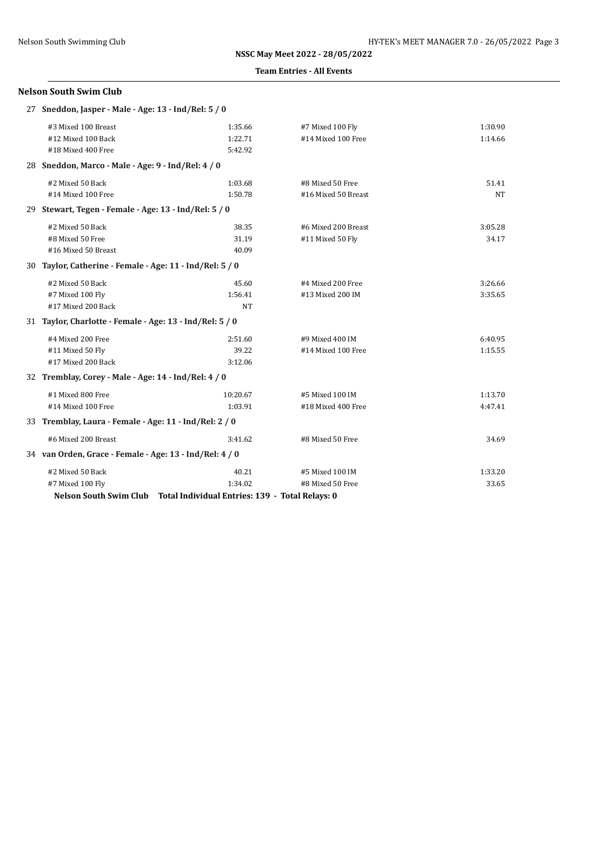#### **Team Entries - All Events**

## **Nelson South Swim Club**

|                                                        | 27 Sneddon, Jasper - Male - Age: 13 - Ind/Rel: 5 / 0     |                                                                        |                     |         |  |
|--------------------------------------------------------|----------------------------------------------------------|------------------------------------------------------------------------|---------------------|---------|--|
|                                                        | #3 Mixed 100 Breast                                      | 1:35.66                                                                | #7 Mixed 100 Fly    | 1:30.90 |  |
|                                                        | #12 Mixed 100 Back                                       | 1:22.71                                                                | #14 Mixed 100 Free  | 1:14.66 |  |
|                                                        | #18 Mixed 400 Free                                       | 5:42.92                                                                |                     |         |  |
|                                                        | 28 Sneddon, Marco - Male - Age: 9 - Ind/Rel: 4 / 0       |                                                                        |                     |         |  |
|                                                        | #2 Mixed 50 Back                                         | 1:03.68                                                                | #8 Mixed 50 Free    | 51.41   |  |
|                                                        | #14 Mixed 100 Free                                       | 1:50.78                                                                | #16 Mixed 50 Breast | NT      |  |
|                                                        | 29 Stewart, Tegen - Female - Age: 13 - Ind/Rel: 5 / 0    |                                                                        |                     |         |  |
|                                                        | #2 Mixed 50 Back                                         | 38.35                                                                  | #6 Mixed 200 Breast | 3:05.28 |  |
|                                                        | #8 Mixed 50 Free                                         | 31.19                                                                  | #11 Mixed 50 Fly    | 34.17   |  |
|                                                        | #16 Mixed 50 Breast                                      | 40.09                                                                  |                     |         |  |
|                                                        | 30 Taylor, Catherine - Female - Age: 11 - Ind/Rel: 5 / 0 |                                                                        |                     |         |  |
|                                                        | #2 Mixed 50 Back                                         | 45.60                                                                  | #4 Mixed 200 Free   | 3:26.66 |  |
|                                                        | #7 Mixed 100 Fly                                         | 1:56.41                                                                | #13 Mixed 200 IM    | 3:35.65 |  |
|                                                        | #17 Mixed 200 Back                                       | <b>NT</b>                                                              |                     |         |  |
|                                                        | 31 Taylor, Charlotte - Female - Age: 13 - Ind/Rel: 5 / 0 |                                                                        |                     |         |  |
|                                                        | #4 Mixed 200 Free                                        | 2:51.60                                                                | #9 Mixed 400 IM     | 6:40.95 |  |
|                                                        | #11 Mixed 50 Fly                                         | 39.22                                                                  | #14 Mixed 100 Free  | 1:15.55 |  |
|                                                        | #17 Mixed 200 Back                                       | 3:12.06                                                                |                     |         |  |
|                                                        | 32 Tremblay, Corey - Male - Age: 14 - Ind/Rel: 4 / 0     |                                                                        |                     |         |  |
|                                                        | #1 Mixed 800 Free                                        | 10:20.67                                                               | #5 Mixed 100 IM     | 1:13.70 |  |
|                                                        | #14 Mixed 100 Free                                       | 1:03.91                                                                | #18 Mixed 400 Free  | 4:47.41 |  |
| 33 Tremblay, Laura - Female - Age: 11 - Ind/Rel: 2 / 0 |                                                          |                                                                        |                     |         |  |
|                                                        | #6 Mixed 200 Breast                                      | 3:41.62                                                                | #8 Mixed 50 Free    | 34.69   |  |
|                                                        | 34 van Orden, Grace - Female - Age: 13 - Ind/Rel: 4 / 0  |                                                                        |                     |         |  |
|                                                        | #2 Mixed 50 Back                                         | 40.21                                                                  | #5 Mixed 100 IM     | 1:33.20 |  |
|                                                        | #7 Mixed 100 Fly                                         | 1:34.02                                                                | #8 Mixed 50 Free    | 33.65   |  |
|                                                        |                                                          | Nelson South Swim Club Total Individual Entries: 139 - Total Relays: 0 |                     |         |  |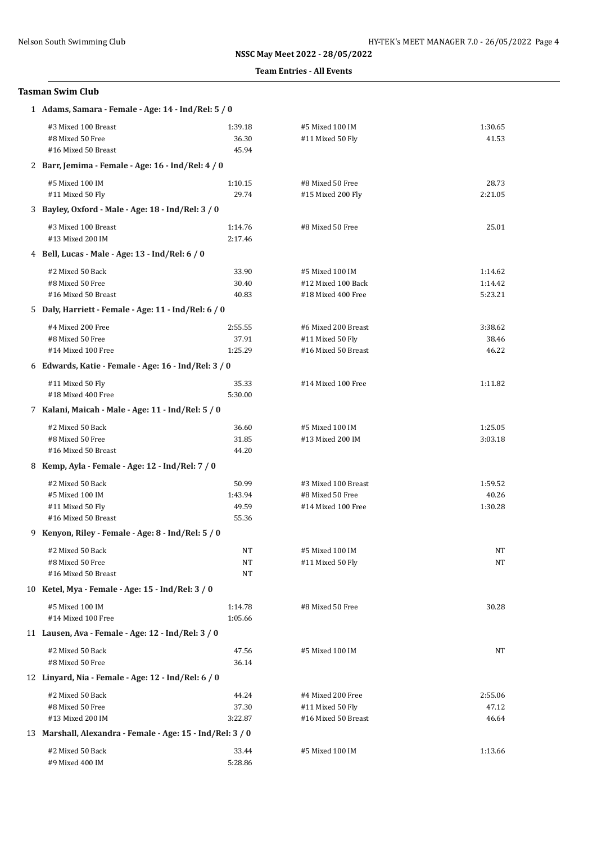#### **Team Entries - All Events**

## **Tasman Swim Club**

| 1 Adams, Samara - Female - Age: 14 - Ind/Rel: 5 / 0                            |                                                 |                                                                |                               |  |  |
|--------------------------------------------------------------------------------|-------------------------------------------------|----------------------------------------------------------------|-------------------------------|--|--|
| #3 Mixed 100 Breast<br>#8 Mixed 50 Free<br>#16 Mixed 50 Breast                 | 1:39.18<br>36.30<br>45.94                       | #5 Mixed 100 IM<br>#11 Mixed 50 Fly                            | 1:30.65<br>41.53              |  |  |
| 2 Barr, Jemima - Female - Age: 16 - Ind/Rel: 4 / 0                             |                                                 |                                                                |                               |  |  |
| #5 Mixed 100 IM<br>#11 Mixed 50 Fly                                            | 1:10.15<br>29.74                                | #8 Mixed 50 Free<br>#15 Mixed 200 Fly                          | 28.73<br>2:21.05              |  |  |
| 3 Bayley, Oxford - Male - Age: 18 - Ind/Rel: 3 / 0                             |                                                 |                                                                |                               |  |  |
| #3 Mixed 100 Breast<br>#13 Mixed 200 IM                                        | 1:14.76<br>2:17.46                              | #8 Mixed 50 Free                                               | 25.01                         |  |  |
|                                                                                | 4 Bell, Lucas - Male - Age: 13 - Ind/Rel: 6 / 0 |                                                                |                               |  |  |
| #2 Mixed 50 Back<br>#8 Mixed 50 Free<br>#16 Mixed 50 Breast                    | 33.90<br>30.40<br>40.83                         | #5 Mixed 100 IM<br>#12 Mixed 100 Back<br>#18 Mixed 400 Free    | 1:14.62<br>1:14.42<br>5:23.21 |  |  |
| 5 Daly, Harriett - Female - Age: 11 - Ind/Rel: 6 / 0                           |                                                 |                                                                |                               |  |  |
| #4 Mixed 200 Free<br>#8 Mixed 50 Free<br>#14 Mixed 100 Free                    | 2:55.55<br>37.91<br>1:25.29                     | #6 Mixed 200 Breast<br>#11 Mixed 50 Fly<br>#16 Mixed 50 Breast | 3:38.62<br>38.46<br>46.22     |  |  |
| 6 Edwards, Katie - Female - Age: 16 - Ind/Rel: 3 / 0                           |                                                 |                                                                |                               |  |  |
| #11 Mixed 50 Fly<br>#18 Mixed 400 Free                                         | 35.33<br>5:30.00                                | #14 Mixed 100 Free                                             | 1:11.82                       |  |  |
| 7 Kalani, Maicah - Male - Age: 11 - Ind/Rel: 5 / 0                             |                                                 |                                                                |                               |  |  |
| #2 Mixed 50 Back<br>#8 Mixed 50 Free<br>#16 Mixed 50 Breast                    | 36.60<br>31.85<br>44.20                         | #5 Mixed 100 IM<br>#13 Mixed 200 IM                            | 1:25.05<br>3:03.18            |  |  |
| 8 Kemp, Ayla - Female - Age: 12 - Ind/Rel: 7 / 0                               |                                                 |                                                                |                               |  |  |
| #2 Mixed 50 Back<br>#5 Mixed 100 IM<br>#11 Mixed 50 Fly<br>#16 Mixed 50 Breast | 50.99<br>1:43.94<br>49.59<br>55.36              | #3 Mixed 100 Breast<br>#8 Mixed 50 Free<br>#14 Mixed 100 Free  | 1:59.52<br>40.26<br>1:30.28   |  |  |
| 9 Kenyon, Riley - Female - Age: 8 - Ind/Rel: 5 / 0                             |                                                 |                                                                |                               |  |  |
| #2 Mixed 50 Back<br>#8 Mixed 50 Free<br>#16 Mixed 50 Breast                    | NT<br>NT<br>NT                                  | #5 Mixed 100 IM<br>#11 Mixed 50 Fly                            | NT<br>NT                      |  |  |
| 10 Ketel, Mya - Female - Age: 15 - Ind/Rel: 3 / 0                              |                                                 |                                                                |                               |  |  |
| #5 Mixed 100 IM<br>#14 Mixed 100 Free                                          | 1:14.78<br>1:05.66                              | #8 Mixed 50 Free                                               | 30.28                         |  |  |
| 11 Lausen, Ava - Female - Age: 12 - Ind/Rel: 3 / 0                             |                                                 |                                                                |                               |  |  |
| #2 Mixed 50 Back<br>#8 Mixed 50 Free                                           | 47.56<br>36.14                                  | #5 Mixed 100 IM                                                | NT                            |  |  |
| 12 Linyard, Nia - Female - Age: 12 - Ind/Rel: 6 / 0                            |                                                 |                                                                |                               |  |  |
| #2 Mixed 50 Back<br>#8 Mixed 50 Free<br>#13 Mixed 200 IM                       | 44.24<br>37.30<br>3:22.87                       | #4 Mixed 200 Free<br>#11 Mixed 50 Fly<br>#16 Mixed 50 Breast   | 2:55.06<br>47.12<br>46.64     |  |  |
| 13 Marshall, Alexandra - Female - Age: 15 - Ind/Rel: 3 / 0                     |                                                 |                                                                |                               |  |  |
| #2 Mixed 50 Back<br>#9 Mixed 400 IM                                            | 33.44<br>5:28.86                                | #5 Mixed 100 IM                                                | 1:13.66                       |  |  |